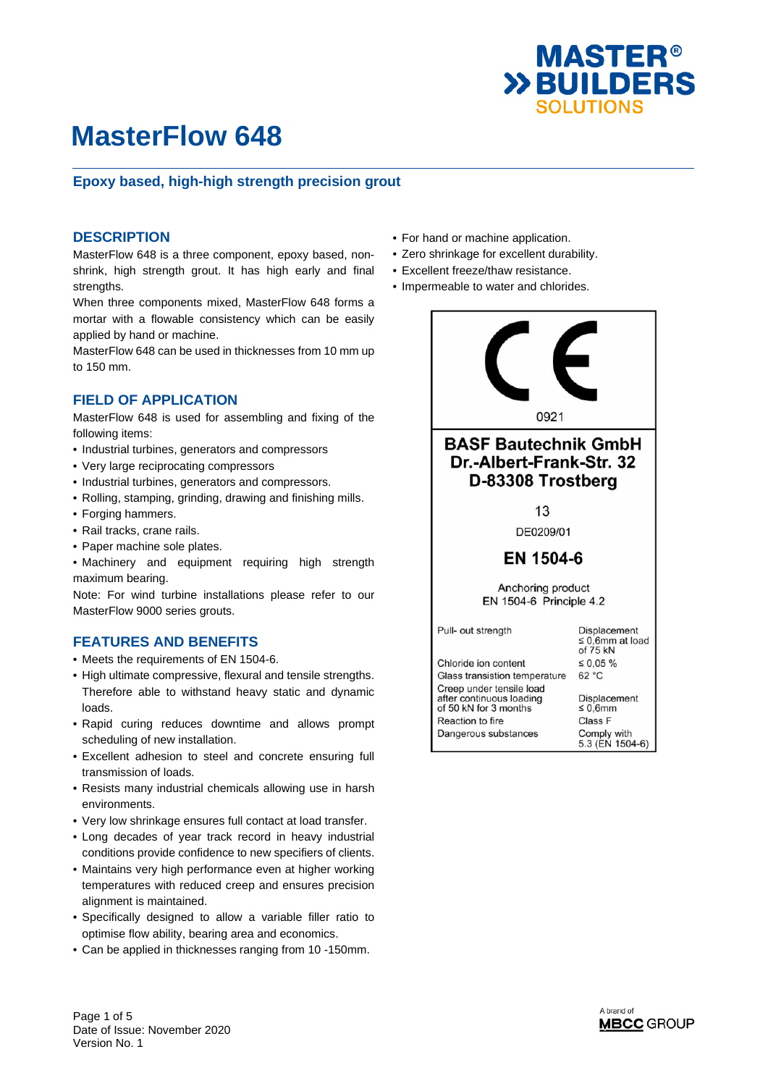

### **Epoxy based, high-high strength precision grout**

#### **DESCRIPTION**

MasterFlow 648 is a three component, epoxy based, nonshrink, high strength grout. It has high early and final strengths.

When three components mixed, MasterFlow 648 forms a mortar with a flowable consistency which can be easily applied by hand or machine.

MasterFlow 648 can be used in thicknesses from 10 mm up to 150 mm.

#### **FIELD OF APPLICATION**

MasterFlow 648 is used for assembling and fixing of the following items:

- Industrial turbines, generators and compressors
- Very large reciprocating compressors
- Industrial turbines, generators and compressors.
- Rolling, stamping, grinding, drawing and finishing mills.
- Forging hammers.
- Rail tracks, crane rails.
- Paper machine sole plates.
- Machinery and equipment requiring high strength maximum bearing.

Note: For wind turbine installations please refer to our MasterFlow 9000 series grouts.

#### **FEATURES AND BENEFITS**

- Meets the requirements of EN 1504-6.
- High ultimate compressive, flexural and tensile strengths. Therefore able to withstand heavy static and dynamic loads.
- Rapid curing reduces downtime and allows prompt scheduling of new installation.
- Excellent adhesion to steel and concrete ensuring full transmission of loads.
- Resists many industrial chemicals allowing use in harsh environments.
- Very low shrinkage ensures full contact at load transfer.
- Long decades of year track record in heavy industrial conditions provide confidence to new specifiers of clients.
- Maintains very high performance even at higher working temperatures with reduced creep and ensures precision alignment is maintained.
- Specifically designed to allow a variable filler ratio to optimise flow ability, bearing area and economics.
- Can be applied in thicknesses ranging from 10 -150mm.
- For hand or machine application.
- Zero shrinkage for excellent durability.
- Excellent freeze/thaw resistance.
- Impermeable to water and chlorides.



Page 1 of 5 Date of Issue: November 2020 Version No. 1

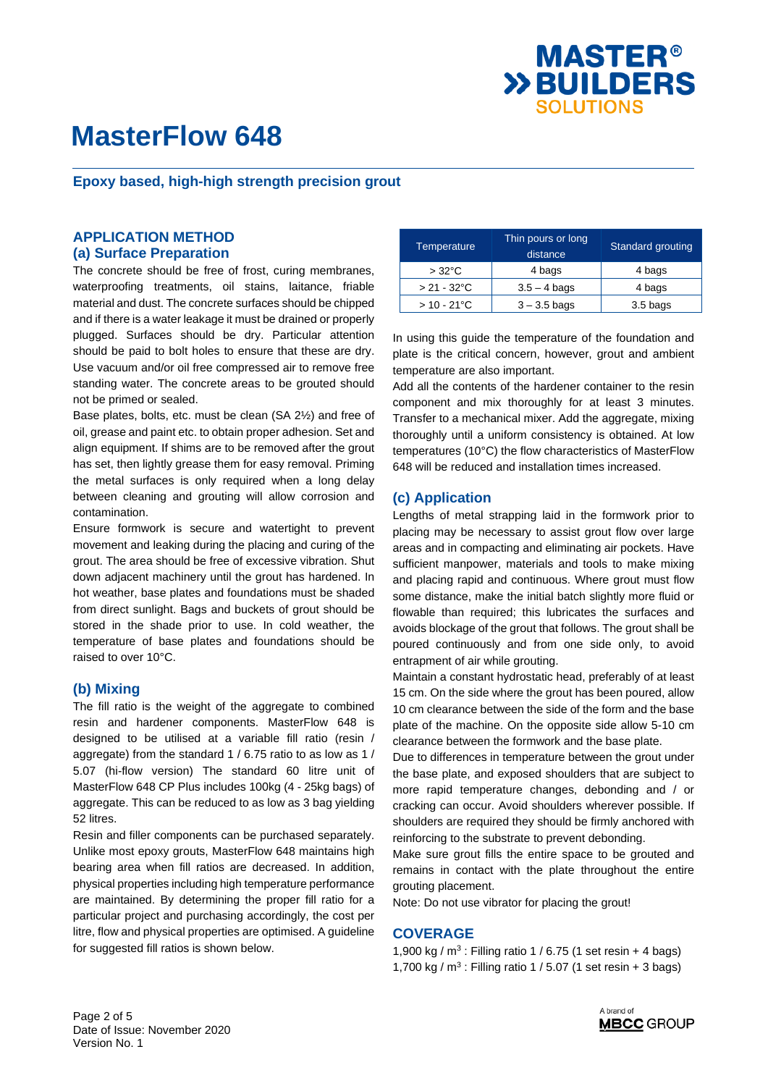

**Epoxy based, high-high strength precision grout** 

### **APPLICATION METHOD (a) Surface Preparation**

The concrete should be free of frost, curing membranes, waterproofing treatments, oil stains, laitance, friable material and dust. The concrete surfaces should be chipped and if there is a water leakage it must be drained or properly plugged. Surfaces should be dry. Particular attention should be paid to bolt holes to ensure that these are dry. Use vacuum and/or oil free compressed air to remove free standing water. The concrete areas to be grouted should not be primed or sealed.

Base plates, bolts, etc. must be clean (SA 2½) and free of oil, grease and paint etc. to obtain proper adhesion. Set and align equipment. If shims are to be removed after the grout has set, then lightly grease them for easy removal. Priming the metal surfaces is only required when a long delay between cleaning and grouting will allow corrosion and contamination.

Ensure formwork is secure and watertight to prevent movement and leaking during the placing and curing of the grout. The area should be free of excessive vibration. Shut down adjacent machinery until the grout has hardened. In hot weather, base plates and foundations must be shaded from direct sunlight. Bags and buckets of grout should be stored in the shade prior to use. In cold weather, the temperature of base plates and foundations should be raised to over 10°C.

#### **(b) Mixing**

The fill ratio is the weight of the aggregate to combined resin and hardener components. MasterFlow 648 is designed to be utilised at a variable fill ratio (resin / aggregate) from the standard 1 / 6.75 ratio to as low as 1 / 5.07 (hi-flow version) The standard 60 litre unit of MasterFlow 648 CP Plus includes 100kg (4 - 25kg bags) of aggregate. This can be reduced to as low as 3 bag yielding 52 litres.

Resin and filler components can be purchased separately. Unlike most epoxy grouts, MasterFlow 648 maintains high bearing area when fill ratios are decreased. In addition, physical properties including high temperature performance are maintained. By determining the proper fill ratio for a particular project and purchasing accordingly, the cost per litre, flow and physical properties are optimised. A guideline for suggested fill ratios is shown below.

| Temperature          | Thin pours or long<br>distance | Standard grouting |  |  |
|----------------------|--------------------------------|-------------------|--|--|
| $>32^{\circ}$ C      | 4 bags                         | 4 bags            |  |  |
| $> 21 - 32$ °C       | $3.5 - 4$ bags                 | 4 bags            |  |  |
| $> 10 - 21^{\circ}C$ | $3 - 3.5$ bags                 | 3.5 bags          |  |  |

In using this guide the temperature of the foundation and plate is the critical concern, however, grout and ambient temperature are also important.

Add all the contents of the hardener container to the resin component and mix thoroughly for at least 3 minutes. Transfer to a mechanical mixer. Add the aggregate, mixing thoroughly until a uniform consistency is obtained. At low temperatures (10°C) the flow characteristics of MasterFlow 648 will be reduced and installation times increased.

#### **(c) Application**

Lengths of metal strapping laid in the formwork prior to placing may be necessary to assist grout flow over large areas and in compacting and eliminating air pockets. Have sufficient manpower, materials and tools to make mixing and placing rapid and continuous. Where grout must flow some distance, make the initial batch slightly more fluid or flowable than required; this lubricates the surfaces and avoids blockage of the grout that follows. The grout shall be poured continuously and from one side only, to avoid entrapment of air while grouting.

Maintain a constant hydrostatic head, preferably of at least 15 cm. On the side where the grout has been poured, allow 10 cm clearance between the side of the form and the base plate of the machine. On the opposite side allow 5-10 cm clearance between the formwork and the base plate.

Due to differences in temperature between the grout under the base plate, and exposed shoulders that are subject to more rapid temperature changes, debonding and / or cracking can occur. Avoid shoulders wherever possible. If shoulders are required they should be firmly anchored with reinforcing to the substrate to prevent debonding.

Make sure grout fills the entire space to be grouted and remains in contact with the plate throughout the entire grouting placement.

Note: Do not use vibrator for placing the grout!

#### **COVERAGE**

1,900 kg /  $m^3$  : Filling ratio 1 / 6.75 (1 set resin + 4 bags) 1,700 kg /  $m^3$  : Filling ratio 1 / 5.07 (1 set resin + 3 bags)

Page 2 of 5 Date of Issue: November 2020 Version No. 1

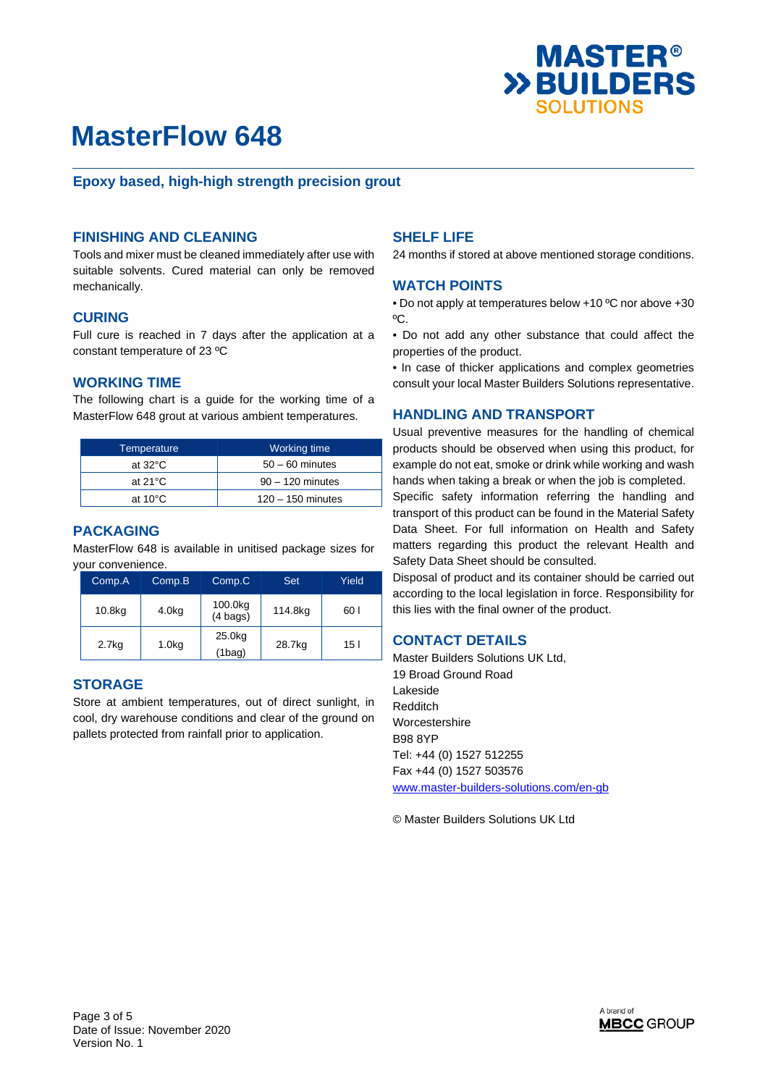

### **Epoxy based, high-high strength precision grout**

#### **FINISHING AND CLEANING**

Tools and mixer must be cleaned immediately after use with suitable solvents. Cured material can only be removed mechanically.

#### **CURING**

Full cure is reached in 7 days after the application at a constant temperature of 23 ºC

#### **WORKING TIME**

The following chart is a guide for the working time of a MasterFlow 648 grout at various ambient temperatures.

| Temperature       | Working time        |  |  |
|-------------------|---------------------|--|--|
| at $32^{\circ}$ C | $50 - 60$ minutes   |  |  |
| at $21^{\circ}$ C | $90 - 120$ minutes  |  |  |
| at $10^{\circ}$ C | $120 - 150$ minutes |  |  |

### **PACKAGING**

MasterFlow 648 is available in unitised package sizes for your convenience.

| Comp.A | Comp.B             | Set<br>Comp.C                 |         | Yield |
|--------|--------------------|-------------------------------|---------|-------|
| 10.8kg | 4.0kg              | 100.0kg<br>$(4 \text{ bags})$ | 114.8kg | 60 I  |
| 2.7kg  | 1.0 <sub>k</sub> g | 25.0kg<br>$(1$ bag)           | 28.7kg  | 15 I  |

#### **STORAGE**

Store at ambient temperatures, out of direct sunlight, in cool, dry warehouse conditions and clear of the ground on pallets protected from rainfall prior to application.

#### **SHELF LIFE**

24 months if stored at above mentioned storage conditions.

#### **WATCH POINTS**

• Do not apply at temperatures below +10 ºC nor above +30 ºC.

• Do not add any other substance that could affect the properties of the product.

• In case of thicker applications and complex geometries consult your local Master Builders Solutions representative.

#### **HANDLING AND TRANSPORT**

Usual preventive measures for the handling of chemical products should be observed when using this product, for example do not eat, smoke or drink while working and wash hands when taking a break or when the job is completed.

Specific safety information referring the handling and transport of this product can be found in the Material Safety Data Sheet. For full information on Health and Safety matters regarding this product the relevant Health and Safety Data Sheet should be consulted.

Disposal of product and its container should be carried out according to the local legislation in force. Responsibility for this lies with the final owner of the product.

#### **CONTACT DETAILS**

Master Builders Solutions UK Ltd, 19 Broad Ground Road Lakeside Redditch Worcestershire B98 8YP Tel: +44 (0) 1527 512255 Fax +44 (0) 1527 503576 www.master-builders-solutions.com/en-gb

© Master Builders Solutions UK Ltd

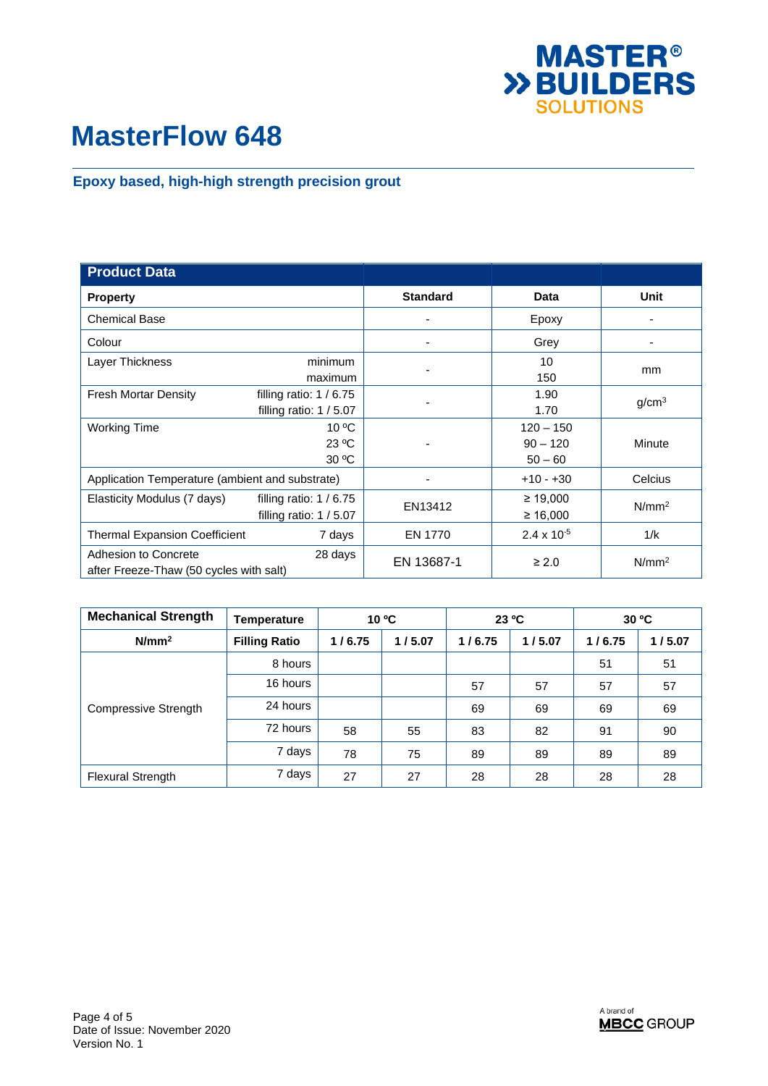

## **Epoxy based, high-high strength precision grout**

| <b>Product Data</b>                                                        |                                                    |                 |                                        |                   |
|----------------------------------------------------------------------------|----------------------------------------------------|-----------------|----------------------------------------|-------------------|
| <b>Property</b>                                                            |                                                    | <b>Standard</b> | Data                                   | Unit              |
| <b>Chemical Base</b>                                                       |                                                    |                 | Epoxy                                  |                   |
| Colour                                                                     |                                                    |                 | Grey                                   |                   |
| Layer Thickness                                                            | minimum<br>maximum                                 |                 | 10<br>150                              | mm                |
| <b>Fresh Mortar Density</b>                                                | filling ratio: $1/6.75$<br>filling ratio: $1/5.07$ |                 | 1.90<br>1.70                           | g/cm <sup>3</sup> |
| <b>Working Time</b>                                                        | $10^{\circ}$ C<br>23 °C<br>30 °C                   |                 | $120 - 150$<br>$90 - 120$<br>$50 - 60$ | Minute            |
| Application Temperature (ambient and substrate)                            |                                                    |                 | $+10 - +30$                            | Celcius           |
| Elasticity Modulus (7 days)                                                | filling ratio: $1/6.75$<br>filling ratio: $1/5.07$ | EN13412         | $\geq 19,000$<br>≥ 16,000              | N/mm <sup>2</sup> |
| <b>Thermal Expansion Coefficient</b>                                       | 7 days                                             | EN 1770         | $2.4 \times 10^{-5}$                   | 1/k               |
| Adhesion to Concrete<br>28 days<br>after Freeze-Thaw (50 cycles with salt) |                                                    | EN 13687-1      | $\geq 2.0$                             | N/mm <sup>2</sup> |

| <b>Mechanical Strength</b> | <b>Temperature</b>   | 10 °C  |        | 23 °C  |        | $30^{\circ}$ C |        |
|----------------------------|----------------------|--------|--------|--------|--------|----------------|--------|
| N/mm <sup>2</sup>          | <b>Filling Ratio</b> | 1/6.75 | 1/5.07 | 1/6.75 | 1/5.07 | 1/6.75         | 1/5.07 |
| Compressive Strength       | 8 hours              |        |        |        |        | 51             | 51     |
|                            | 16 hours             |        |        | 57     | 57     | 57             | 57     |
|                            | 24 hours             |        |        | 69     | 69     | 69             | 69     |
|                            | 72 hours             | 58     | 55     | 83     | 82     | 91             | 90     |
|                            | 7 days               | 78     | 75     | 89     | 89     | 89             | 89     |
| <b>Flexural Strength</b>   | 7 days               | 27     | 27     | 28     | 28     | 28             | 28     |